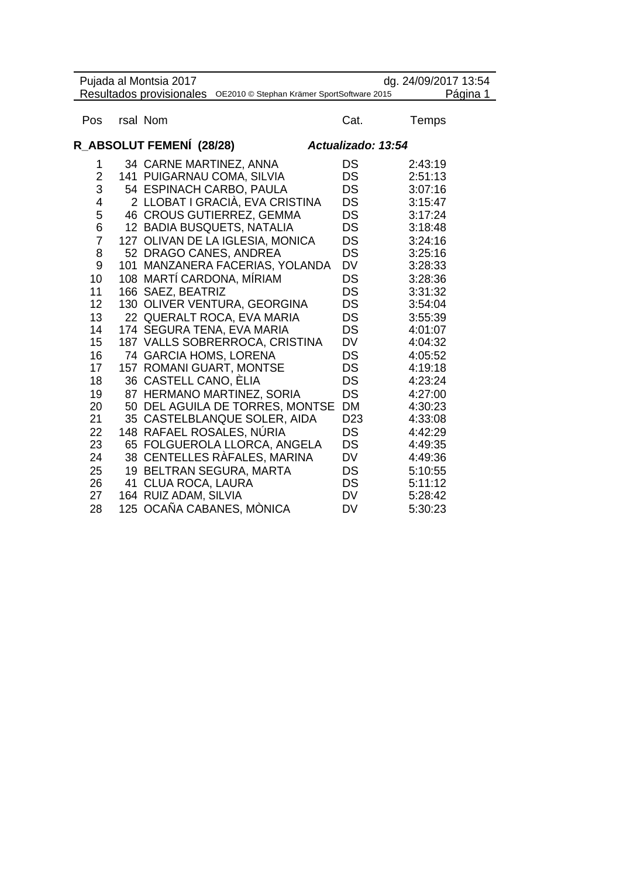| Pujada al Montsia 2017<br>dg. 24/09/2017 13:54<br>Resultados provisionales OE2010 @ Stephan Krämer SportSoftware 2015 |    |                                  |                    |          |  |
|-----------------------------------------------------------------------------------------------------------------------|----|----------------------------------|--------------------|----------|--|
|                                                                                                                       |    |                                  |                    | Página 1 |  |
| Pos                                                                                                                   |    | rsal Nom                         | Cat.               | Temps    |  |
|                                                                                                                       |    | R_ABSOLUT FEMENÍ (28/28)         | Actualizado: 13:54 |          |  |
| 1                                                                                                                     |    | 34 CARNE MARTINEZ, ANNA          | DS                 | 2:43:19  |  |
| $\overline{2}$                                                                                                        |    | 141 PUIGARNAU COMA, SILVIA       | DS                 | 2:51:13  |  |
| 3                                                                                                                     |    | 54 ESPINACH CARBO, PAULA         | DS                 | 3:07:16  |  |
| 4                                                                                                                     |    | 2 LLOBAT I GRACIÀ, EVA CRISTINA  | DS                 | 3:15:47  |  |
| 5                                                                                                                     |    | 46 CROUS GUTIERREZ, GEMMA        | DS                 | 3:17:24  |  |
| 6                                                                                                                     |    | 12 BADIA BUSQUETS, NATALIA       | DS                 | 3:18:48  |  |
| $\overline{7}$                                                                                                        |    | 127 OLIVAN DE LA IGLESIA, MONICA | DS                 | 3:24:16  |  |
| 8                                                                                                                     |    | 52 DRAGO CANES, ANDREA           | <b>DS</b>          | 3:25:16  |  |
| 9                                                                                                                     |    | 101 MANZANERA FACERIAS, YOLANDA  | DV                 | 3:28:33  |  |
| 10                                                                                                                    |    | 108 MARTÍ CARDONA, MÍRIAM        | DS                 | 3:28:36  |  |
| 11                                                                                                                    |    | 166 SAEZ, BEATRIZ                | DS                 | 3:31:32  |  |
| 12                                                                                                                    |    | 130 OLIVER VENTURA, GEORGINA     | DS                 | 3:54:04  |  |
| 13                                                                                                                    |    | 22 QUERALT ROCA, EVA MARIA       | DS                 | 3:55:39  |  |
| 14                                                                                                                    |    | 174 SEGURA TENA, EVA MARIA       | DS                 | 4:01:07  |  |
| 15                                                                                                                    |    | 187 VALLS SOBRERROCA, CRISTINA   | DV                 | 4:04:32  |  |
| 16                                                                                                                    |    | 74 GARCIA HOMS, LORENA           | DS                 | 4:05:52  |  |
| 17                                                                                                                    |    | 157 ROMANI GUART, MONTSE         | DS                 | 4:19:18  |  |
| 18                                                                                                                    |    | 36 CASTELL CANO, ELIA            | DS                 | 4:23:24  |  |
| 19                                                                                                                    |    | 87 HERMANO MARTINEZ, SORIA       | <b>DS</b>          | 4:27:00  |  |
| 20                                                                                                                    |    | 50 DEL AGUILA DE TORRES, MONTSE  | <b>DM</b>          | 4:30:23  |  |
| 21                                                                                                                    |    | 35 CASTELBLANQUE SOLER, AIDA     | D <sub>23</sub>    | 4:33:08  |  |
| 22                                                                                                                    |    | 148 RAFAEL ROSALES, NÚRIA        | DS                 | 4:42:29  |  |
| 23                                                                                                                    |    | 65 FOLGUEROLA LLORCA, ANGELA     | DS                 | 4:49:35  |  |
| 24                                                                                                                    |    | 38 CENTELLES RÀFALES, MARINA     | DV                 | 4:49:36  |  |
| 25                                                                                                                    |    | 19 BELTRAN SEGURA, MARTA         | DS                 | 5:10:55  |  |
| 26                                                                                                                    | 41 | <b>CLUA ROCA, LAURA</b>          | DS                 | 5:11:12  |  |
| 27                                                                                                                    |    | 164 RUIZ ADAM, SILVIA            | DV                 | 5:28:42  |  |
| 28                                                                                                                    |    | 125 OCAÑA CABANES, MÒNICA        | DV                 | 5:30:23  |  |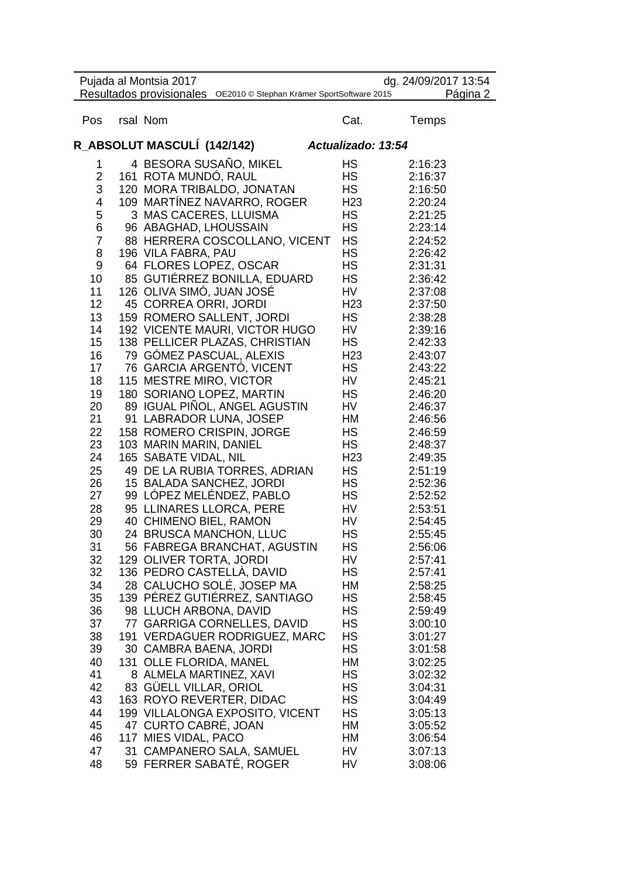|                 | Pujada al Montsia 2017<br>Resultados provisionales OE2010 @ Stephan Krämer SportSoftware 2015 |                 | dg. 24/09/2017 13:54<br>Página 2 |
|-----------------|-----------------------------------------------------------------------------------------------|-----------------|----------------------------------|
| Pos             | rsal Nom                                                                                      | Cat.            | Temps                            |
|                 | R_ABSOLUT MASCULÍ (142/142)                                                                   |                 | Actualizado: 13:54               |
| 1               | 4 BESORA SUSAÑO, MIKEL                                                                        | HS              | 2:16:23                          |
| 2               | 161 ROTA MUNDÓ, RAUL                                                                          | HS              | 2:16:37                          |
| 3               | 120 MORA TRIBALDO, JONATAN                                                                    | HS              | 2:16:50                          |
| 4               | 109 MARTÍNEZ NAVARRO, ROGER                                                                   | H <sub>23</sub> | 2:20:24                          |
| 5               | 3 MAS CACERES, LLUISMA                                                                        | HS              | 2:21:25                          |
| 6               | 96 ABAGHAD, LHOUSSAIN                                                                         | HS              | 2:23:14                          |
| $\overline{7}$  | 88 HERRERA COSCOLLANO, VICENT                                                                 | <b>HS</b>       | 2:24:52                          |
| 8               | 196 VILA FABRA, PAU                                                                           | <b>HS</b>       | 2:26:42                          |
| 9               | 64 FLORES LOPEZ, OSCAR                                                                        | <b>HS</b>       | 2:31:31                          |
| 10              | 85 GUTIÉRREZ BONILLA, EDUARD                                                                  | HS              | 2:36:42                          |
| 11              | 126 OLIVA SIMÓ, JUAN JOSÉ                                                                     | HV              | 2:37:08                          |
| 12 <sub>2</sub> | 45 CORREA ORRI, JORDI                                                                         | H <sub>23</sub> | 2:37:50                          |
| 13              | 159 ROMERO SALLENT, JORDI                                                                     | HS              | 2:38:28                          |
| 14              | 192 VICENTE MAURI, VICTOR HUGO                                                                | HV              | 2:39:16                          |
| 15              | 138 PELLICER PLAZAS, CHRISTIAN                                                                | HS              | 2:42:33                          |
| 16              | 79 GÓMEZ PASCUAL, ALEXIS                                                                      | H <sub>23</sub> | 2:43:07                          |
| 17              | 76 GARCIA ARGENTO, VICENT                                                                     | HS.             | 2:43:22                          |
| 18              | 115 MESTRE MIRO, VICTOR                                                                       | HV              | 2:45:21                          |
| 19              | 180 SORIANO LOPEZ, MARTIN                                                                     | HS              | 2:46:20                          |
| 20              | 89 IGUAL PIÑOL, ANGEL AGUSTIN                                                                 | HV              | 2:46:37                          |
| 21              | 91 LABRADOR LUNA, JOSEP                                                                       | НM              | 2:46:56                          |
| 22              | 158 ROMERO CRISPIN, JORGE                                                                     | HS              | 2:46:59                          |
| 23              | 103 MARIN MARIN, DANIEL                                                                       | <b>HS</b>       | 2:48:37                          |
| 24              | 165 SABATE VIDAL, NIL                                                                         | H <sub>23</sub> | 2:49:35                          |
| 25              | 49 DE LA RUBIA TORRES, ADRIAN                                                                 | HS              | 2:51:19                          |
| 26              | 15 BALADA SANCHEZ, JORDI                                                                      | HS              | 2:52:36                          |
| 27              | 99 LÓPEZ MELÉNDEZ, PABLO                                                                      | HS              | 2:52:52                          |
| 28              | 95 LLINARES LLORCA, PERE                                                                      | HV              | 2:53:51                          |
| 29              | 40 CHIMENO BIEL, RAMON                                                                        | HV              | 2:54:45                          |
| 30              | 24 BRUSCA MANCHON, LLUC                                                                       | HS              | 2:55:45                          |
|                 |                                                                                               |                 |                                  |
| 31              | 56 FABREGA BRANCHAT, AGUSTIN<br>129 OLIVER TORTA, JORDI                                       | НS<br>HV        | 2:56:06                          |
| 32<br>32        | 136 PEDRO CASTELLÀ, DAVID                                                                     | HS              | 2:57:41                          |
|                 |                                                                                               |                 | 2:57:41                          |
| 34              | 28 CALUCHO SOLÉ, JOSEP MA                                                                     | HM              | 2:58:25                          |
| 35              | 139 PÉREZ GUTIÉRREZ, SANTIAGO                                                                 | HS              | 2:58:45                          |
| 36              | 98 LLUCH ARBONA, DAVID                                                                        | НS              | 2:59:49                          |
| 37              | 77 GARRIGA CORNELLES, DAVID                                                                   | HS              | 3:00:10                          |
| 38              | 191 VERDAGUER RODRIGUEZ, MARC                                                                 | НS              | 3:01:27                          |
| 39              | 30 CAMBRA BAENA, JORDI                                                                        | НS              | 3:01:58                          |
| 40              | 131 OLLE FLORIDA, MANEL                                                                       | HM              | 3:02:25                          |
| 41              | 8 ALMELA MARTINEZ, XAVI                                                                       | НS              | 3:02:32                          |
| 42              | 83 GUELL VILLAR, ORIOL                                                                        | НS              | 3:04:31                          |
| 43              | 163 ROYO REVERTER, DIDAC                                                                      | НS              | 3:04:49                          |
| 44              | 199 VILLALONGA EXPOSITO, VICENT                                                               | HS              | 3:05:13                          |
| 45              | 47 CURTO CABRÉ, JOAN                                                                          | НM              | 3:05:52                          |
| 46              | 117 MIES VIDAL, PACO                                                                          | HМ              | 3:06:54                          |
| 47              | 31 CAMPANERO SALA, SAMUEL                                                                     | HV              | 3:07:13                          |
| 48              | 59 FERRER SABATÉ, ROGER                                                                       | HV              | 3:08:06                          |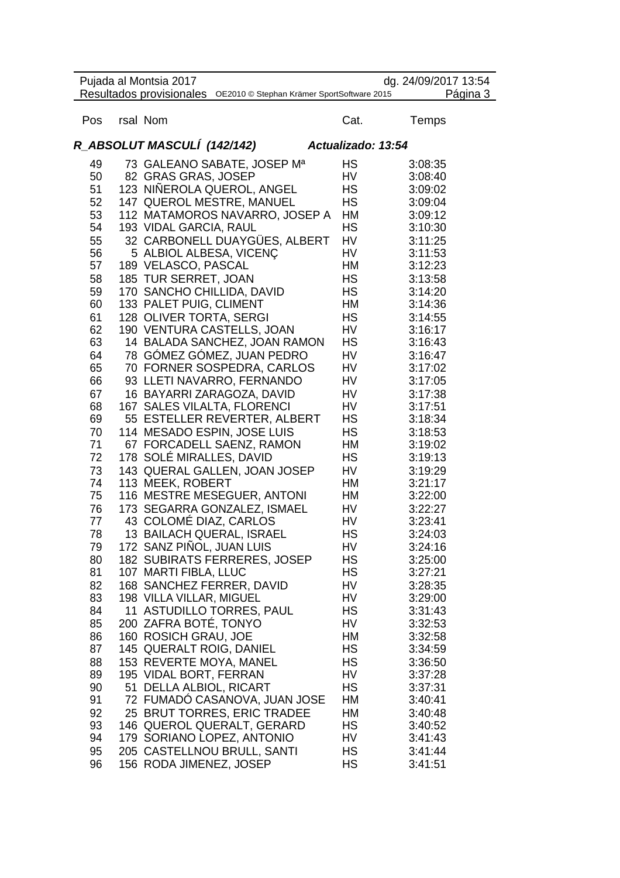| Pujada al Montsia 2017<br>dg. 24/09/2017 13:54 |  |                                                                     |                    |                    |
|------------------------------------------------|--|---------------------------------------------------------------------|--------------------|--------------------|
|                                                |  | Resultados provisionales OE2010 @ Stephan Krämer SportSoftware 2015 |                    | Página 3           |
| Pos                                            |  | rsal Nom                                                            | Cat.               | Temps              |
|                                                |  | R_ABSOLUT MASCULÍ (142/142)                                         | Actualizado: 13:54 |                    |
| 49                                             |  | 73 GALEANO SABATE, JOSEP Ma                                         | HS                 | 3:08:35            |
| 50                                             |  | 82 GRAS GRAS, JOSEP                                                 | HV                 | 3:08:40            |
| 51                                             |  | 123 NINEROLA QUEROL, ANGEL                                          | HS                 | 3:09:02            |
| 52                                             |  | 147 QUEROL MESTRE, MANUEL                                           | <b>HS</b>          | 3:09:04            |
| 53                                             |  | 112 MATAMOROS NAVARRO, JOSEP A                                      | HM                 | 3:09:12            |
| 54                                             |  | 193 VIDAL GARCIA, RAUL                                              | HS                 | 3:10:30            |
| 55                                             |  | 32 CARBONELL DUAYGÜES, ALBERT                                       | HV                 | 3:11:25            |
| 56                                             |  | 5 ALBIOL ALBESA, VICENÇ                                             | HV                 | 3:11:53            |
| 57                                             |  | 189 VELASCO, PASCAL                                                 | HM                 | 3:12:23            |
| 58                                             |  | 185 TUR SERRET, JOAN                                                | <b>HS</b>          | 3:13:58            |
| 59                                             |  | 170 SANCHO CHILLIDA, DAVID                                          | <b>HS</b>          | 3:14:20            |
| 60                                             |  | 133 PALET PUIG, CLIMENT                                             | HM                 | 3:14:36            |
| 61                                             |  | 128 OLIVER TORTA, SERGI                                             | <b>HS</b>          | 3:14:55            |
| 62                                             |  | 190 VENTURA CASTELLS, JOAN                                          | HV                 | 3:16:17            |
| 63                                             |  | 14 BALADA SANCHEZ, JOAN RAMON                                       | HS.                | 3:16:43            |
| 64                                             |  | 78 GÓMEZ GÓMEZ, JUAN PEDRO                                          | HV                 | 3:16:47            |
| 65                                             |  | 70 FORNER SOSPEDRA, CARLOS                                          | HV                 | 3:17:02            |
| 66                                             |  | 93 LLETI NAVARRO, FERNANDO                                          | HV                 | 3:17:05            |
| 67                                             |  | 16 BAYARRI ZARAGOZA, DAVID                                          | HV                 | 3:17:38            |
| 68                                             |  | 167 SALES VILALTA, FLORENCI                                         | HV                 | 3:17:51            |
| 69                                             |  | 55 ESTELLER REVERTER, ALBERT                                        | HS                 | 3:18:34            |
| 70                                             |  | 114 MESADO ESPIN, JOSE LUIS                                         | <b>HS</b>          | 3:18:53            |
| 71                                             |  | 67 FORCADELL SAENZ, RAMON                                           | HM                 | 3:19:02            |
| 72                                             |  | 178 SOLÉ MIRALLES, DAVID                                            | HS                 | 3:19:13            |
| 73                                             |  | 143 QUERAL GALLEN, JOAN JOSEP                                       | HV                 | 3:19:29            |
| 74                                             |  | 113 MEEK, ROBERT                                                    | HM                 | 3:21:17            |
| 75                                             |  | 116 MESTRE MESEGUER, ANTONI                                         | НM                 | 3:22:00            |
| 76                                             |  | 173 SEGARRA GONZALEZ, ISMAEL                                        | HV                 | 3:22:27            |
| 77                                             |  | 43 COLOMÉ DIAZ, CARLOS                                              | HV                 | 3:23:41            |
| 78                                             |  | 13 BAILACH QUERAL, ISRAEL                                           | HS                 | 3:24:03            |
| 79                                             |  | 172 SANZ PIÑOL, JUAN LUIS                                           | HV                 | 3:24:16            |
| 80<br>81                                       |  | 182 SUBIRATS FERRERES, JOSEP<br>107 MARTI FIBLA, LLUC               | HS<br>HS           | 3:25:00<br>3:27:21 |
| 82                                             |  | 168 SANCHEZ FERRER, DAVID                                           | HV                 | 3:28:35            |
| 83                                             |  | 198 VILLA VILLAR, MIGUEL                                            | HV                 | 3:29:00            |
| 84                                             |  | 11 ASTUDILLO TORRES, PAUL                                           | HS                 | 3:31:43            |
| 85                                             |  | 200 ZAFRA BOTÉ, TONYO                                               | HV                 | 3:32:53            |
| 86                                             |  | 160 ROSICH GRAU, JOE                                                | НM                 | 3:32:58            |
| 87                                             |  | 145 QUERALT ROIG, DANIEL                                            | HS                 | 3:34:59            |
| 88                                             |  | 153 REVERTE MOYA, MANEL                                             | НS                 | 3:36:50            |
| 89                                             |  | 195 VIDAL BORT, FERRAN                                              | HV                 | 3:37:28            |
| 90                                             |  | 51 DELLA ALBIOL, RICART                                             | HS                 | 3:37:31            |
| 91                                             |  | 72 FUMADO CASANOVA, JUAN JOSE                                       | HМ                 | 3:40:41            |
| 92                                             |  | 25 BRUT TORRES, ERIC TRADEE                                         | HM                 | 3:40:48            |
| 93                                             |  | 146 QUEROL QUERALT, GERARD                                          | HS                 | 3:40:52            |
| 94                                             |  | 179 SORIANO LOPEZ, ANTONIO                                          | HV                 | 3:41:43            |
| 95                                             |  | 205 CASTELLNOU BRULL, SANTI                                         | НS                 | 3:41:44            |
| 96                                             |  | 156 RODA JIMENEZ, JOSEP                                             | HS                 | 3:41:51            |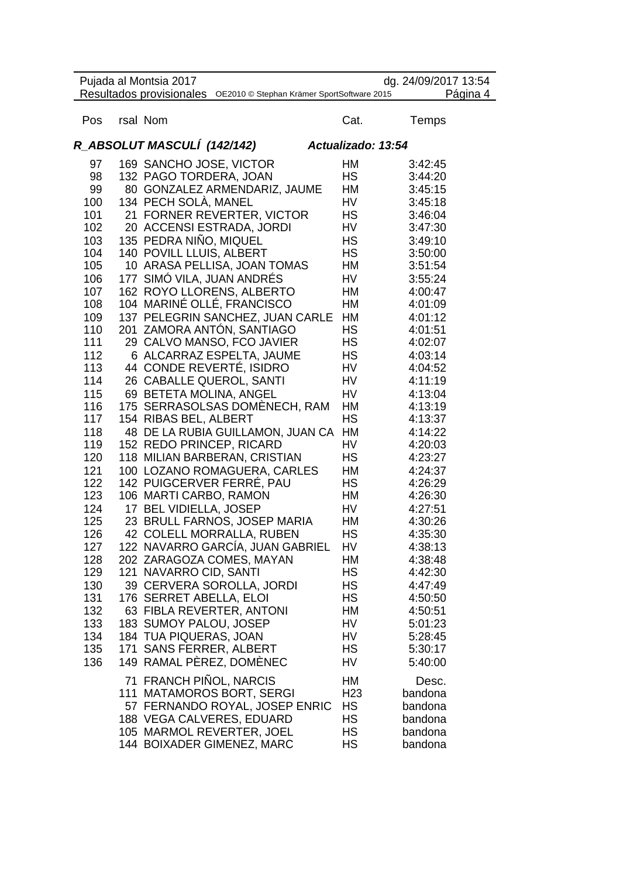|     | Pujada al Montsia 2017<br>Resultados provisionales OE2010 @ Stephan Krämer SportSoftware 2015 |                    | dg. 24/09/2017 13:54<br>Página 4 |
|-----|-----------------------------------------------------------------------------------------------|--------------------|----------------------------------|
| Pos | rsal Nom                                                                                      | Cat.               | <b>Temps</b>                     |
|     | R_ABSOLUT MASCULÍ (142/142)                                                                   | Actualizado: 13:54 |                                  |
| 97  | 169 SANCHO JOSE, VICTOR                                                                       | HM                 | 3:42:45                          |
| 98  | 132 PAGO TORDERA, JOAN                                                                        | НS                 | 3:44:20                          |
| 99  | 80 GONZALEZ ARMENDARIZ, JAUME                                                                 | НM                 | 3:45:15                          |
| 100 | 134 PECH SOLÀ, MANEL                                                                          | HV                 | 3:45:18                          |
| 101 | 21 FORNER REVERTER, VICTOR                                                                    | НS                 | 3:46:04                          |
| 102 | 20 ACCENSI ESTRADA, JORDI                                                                     | HV                 | 3:47:30                          |
| 103 | 135 PEDRA NIÑO, MIQUEL                                                                        | HS                 | 3:49:10                          |
| 104 | 140 POVILL LLUIS, ALBERT                                                                      | HS                 | 3:50:00                          |
| 105 | 10 ARASA PELLISA, JOAN TOMAS                                                                  | НM                 | 3:51:54                          |
| 106 | 177 SIMÓ VILA, JUAN ANDRÉS                                                                    | HV                 | 3:55:24                          |
| 107 | 162 ROYO LLORENS, ALBERTO                                                                     | НM                 | 4:00:47                          |
| 108 | 104 MARINÉ OLLÉ, FRANCISCO                                                                    | HМ                 | 4:01:09                          |
| 109 | 137 PELEGRIN SANCHEZ, JUAN CARLE                                                              | HM                 | 4:01:12                          |
| 110 | 201 ZAMORA ANTÓN, SANTIAGO                                                                    | <b>HS</b>          | 4:01:51                          |
| 111 | 29 CALVO MANSO, FCO JAVIER                                                                    | HS                 | 4:02:07                          |
| 112 | 6 ALCARRAZ ESPELTA, JAUME                                                                     | НS                 | 4:03:14                          |
| 113 | 44 CONDE REVERTÉ, ISIDRO                                                                      | HV                 | 4:04:52                          |
| 114 | 26 CABALLE QUEROL, SANTI                                                                      | HV                 | 4:11:19                          |
| 115 | 69 BETETA MOLINA, ANGEL                                                                       | HV                 | 4:13:04                          |
| 116 | 175 SERRASOLSAS DOMÉNECH, RAM                                                                 | HM                 | 4:13:19                          |
| 117 | 154 RIBAS BEL, ALBERT                                                                         | <b>HS</b>          | 4:13:37                          |
| 118 | 48 DE LA RUBIA GUILLAMON, JUAN CA                                                             | HM                 | 4:14:22                          |
| 119 | 152 REDO PRINCEP, RICARD                                                                      | HV                 | 4:20:03                          |
| 120 | 118 MILIAN BARBERAN, CRISTIAN                                                                 | НS                 | 4:23:27                          |
| 121 | 100 LOZANO ROMAGUERA, CARLES                                                                  | НM                 | 4:24:37                          |
| 122 | 142 PUIGCERVER FERRÉ, PAU                                                                     | HS                 | 4:26:29                          |
| 123 | 106 MARTI CARBO, RAMON                                                                        | НM                 | 4:26:30                          |
| 124 | 17 BEL VIDIELLA, JOSEP                                                                        | HV                 | 4:27:51                          |
| 125 | 23 BRULL FARNOS, JOSEP MARIA                                                                  | НM                 | 4:30:26                          |
| 126 | 42 COLELL MORRALLA, RUBEN                                                                     | НS                 | 4:35:30                          |
| 127 | 122 NAVARRO GARCÍA, JUAN GABRIEL                                                              | HV                 | 4:38:13                          |
| 128 | 202 ZARAGOZA COMES, MAYAN                                                                     | HM                 | 4:38:48                          |
| 129 | 121 NAVARRO CID, SANTI                                                                        | <b>HS</b>          | 4:42:30                          |
| 130 | 39 CERVERA SOROLLA, JORDI                                                                     | HS                 | 4:47:49                          |
| 131 | 176 SERRET ABELLA, ELOI                                                                       | НS                 | 4:50:50                          |
| 132 | 63 FIBLA REVERTER, ANTONI                                                                     | НM                 | 4:50:51                          |
| 133 | 183 SUMOY PALOU, JOSEP                                                                        | HV                 | 5:01:23                          |
| 134 | 184 TUA PIQUERAS, JOAN                                                                        | HV                 | 5:28:45                          |
| 135 | 171 SANS FERRER, ALBERT                                                                       | HS                 | 5:30:17                          |
| 136 | 149 RAMAL PÈREZ, DOMÈNEC                                                                      | HV                 | 5:40:00                          |
|     | 71 FRANCH PIÑOL, NARCIS                                                                       | НM                 | Desc.                            |
|     | 111 MATAMOROS BORT, SERGI                                                                     | H <sub>23</sub>    | bandona                          |
|     | 57 FERNANDO ROYAL, JOSEP ENRIC                                                                | <b>HS</b>          | bandona                          |
|     | 188 VEGA CALVERES, EDUARD                                                                     | HS                 | bandona                          |
|     | 105 MARMOL REVERTER, JOEL                                                                     | HS                 | bandona                          |
|     | 144 BOIXADER GIMENEZ, MARC                                                                    | <b>HS</b>          | bandona                          |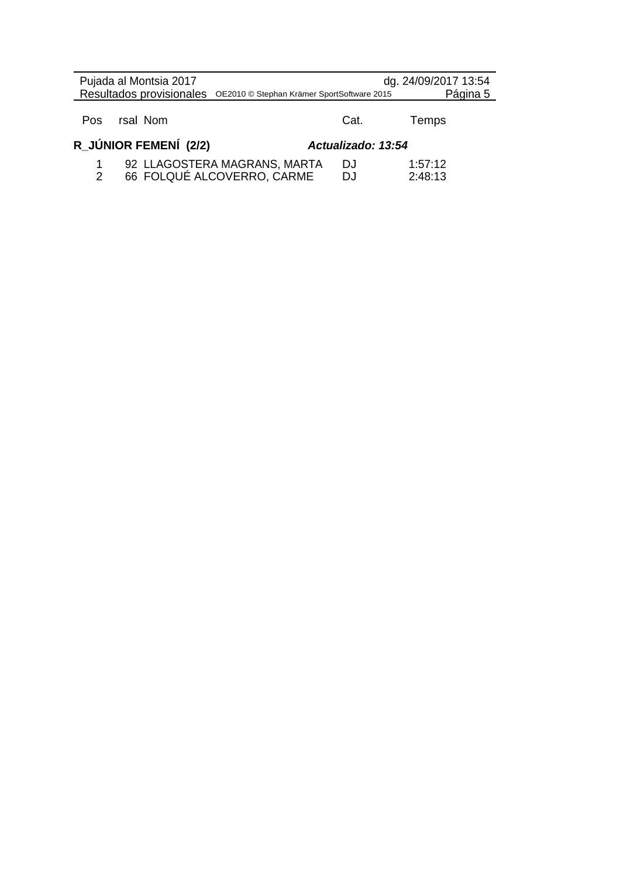|     | Pujada al Montsia 2017<br>Resultados provisionales OE2010 © Stephan Krämer SportSoftware 2015 |                    | dg. 24/09/2017 13:54<br>Página 5 |
|-----|-----------------------------------------------------------------------------------------------|--------------------|----------------------------------|
| Pos | rsal Nom                                                                                      | Cat.               | Temps                            |
|     | R JÚNIOR FEMENÍ (2/2)                                                                         | Actualizado: 13:54 |                                  |
|     | 92 LLAGOSTERA MAGRANS, MARTA<br>66 FOLQUÉ ALCOVERRO, CARME                                    | DJ.<br>D.I         | 1:57:12<br>2:48:13               |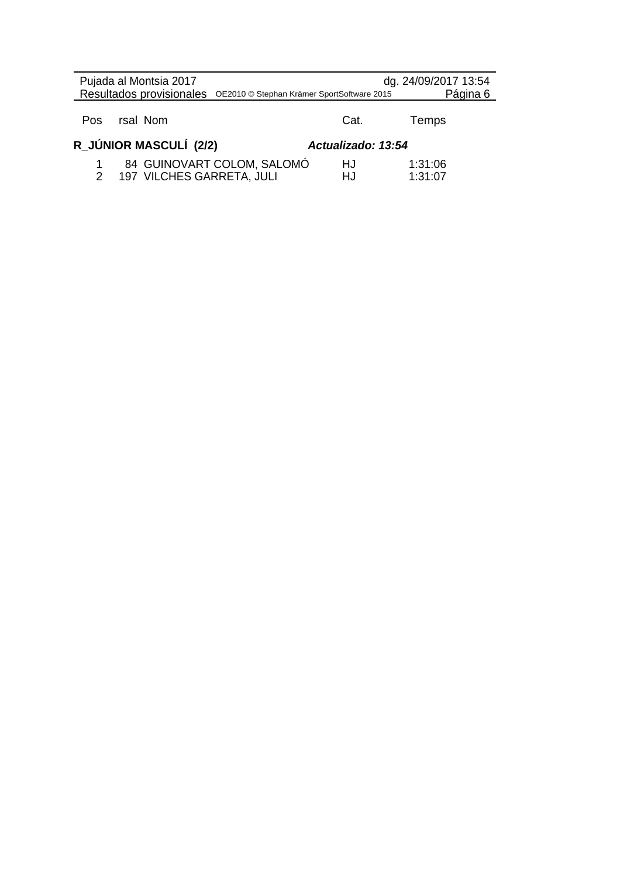| Pujada al Montsia 2017<br>Resultados provisionales OE2010 © Stephan Krämer SportSoftware 2015 |  |                           |                            | dg. 24/09/2017 13:54 | Página 6           |  |
|-----------------------------------------------------------------------------------------------|--|---------------------------|----------------------------|----------------------|--------------------|--|
| Pos.                                                                                          |  | rsal Nom                  |                            | Cat.                 | Temps              |  |
|                                                                                               |  | R_JÚNIOR MASCULÍ (2/2)    |                            | Actualizado: 13:54   |                    |  |
| 2                                                                                             |  | 197 VILCHES GARRETA, JULI | 84 GUINOVART COLOM, SALOMÓ | HJ<br>HJ             | 1:31:06<br>1:31:07 |  |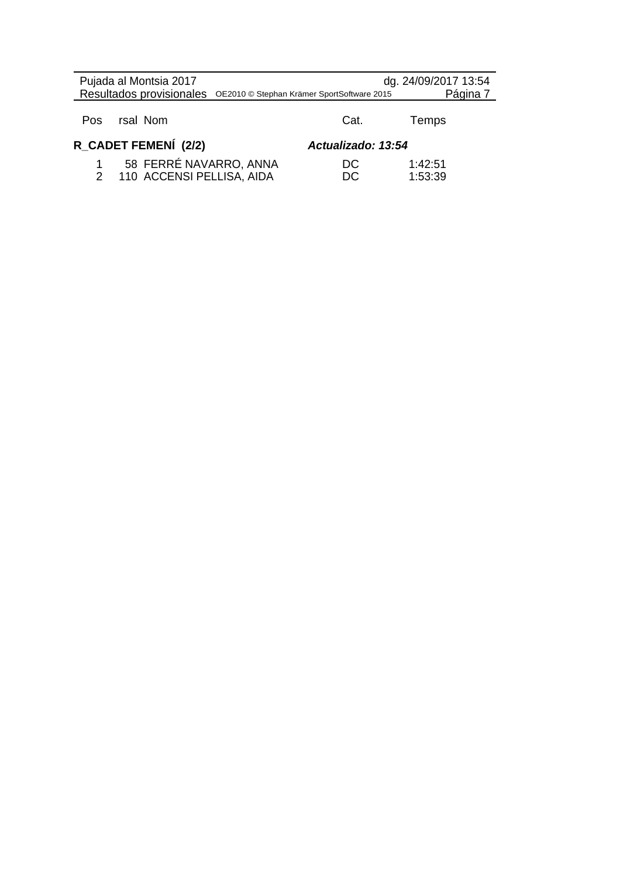| Pujada al Montsia 2017<br>Resultados provisionales OE2010 © Stephan Krämer SportSoftware 2015 |                    | dg. 24/09/2017 13:54<br>Página 7 |
|-----------------------------------------------------------------------------------------------|--------------------|----------------------------------|
| rsal Nom<br><b>Pos</b>                                                                        | Cat.               | Temps                            |
| R_CADET FEMENÍ (2/2)                                                                          | Actualizado: 13:54 |                                  |
| 58 FERRÉ NAVARRO, ANNA<br>110 ACCENSI PELLISA, AIDA                                           | DC<br>DC           | 1:42:51<br>1:53:39               |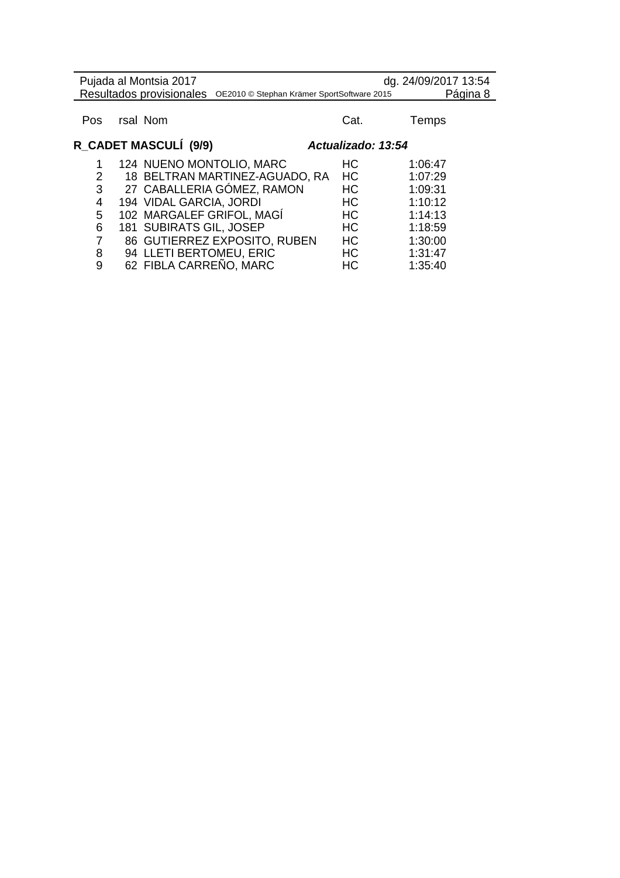| Pujada al Montsia 2017<br>Resultados provisionales |  | dg. 24/09/2017 13:54<br>Página 8<br>OE2010 © Stephan Krämer SportSoftware 2015 |           |         |
|----------------------------------------------------|--|--------------------------------------------------------------------------------|-----------|---------|
|                                                    |  | rsal Nom                                                                       |           |         |
| Pos                                                |  |                                                                                | Cat.      | Temps   |
| R_CADET MASCULÍ (9/9)<br>Actualizado: 13:54        |  |                                                                                |           |         |
|                                                    |  | 124 NUENO MONTOLIO, MARC                                                       | HC        | 1:06:47 |
| 2                                                  |  | 18 BELTRAN MARTINEZ-AGUADO, RA                                                 | <b>HC</b> | 1:07:29 |
| 3                                                  |  | 27 CABALLERIA GÓMEZ, RAMON                                                     | HС        | 1:09:31 |
| 4                                                  |  | 194 VIDAL GARCIA, JORDI                                                        | <b>HC</b> | 1:10:12 |
| 5                                                  |  | 102 MARGALEF GRIFOL, MAGÍ                                                      | <b>HC</b> | 1:14:13 |
| 6                                                  |  | 181 SUBIRATS GIL, JOSEP                                                        | <b>HC</b> | 1:18:59 |
| 7                                                  |  | 86 GUTIERREZ EXPOSITO, RUBEN                                                   | HC        | 1:30:00 |
| 8                                                  |  | 94 LLETI BERTOMEU, ERIC                                                        | HС        | 1:31:47 |
| 9                                                  |  | 62 FIBLA CARREÑO, MARC                                                         | HC        | 1:35:40 |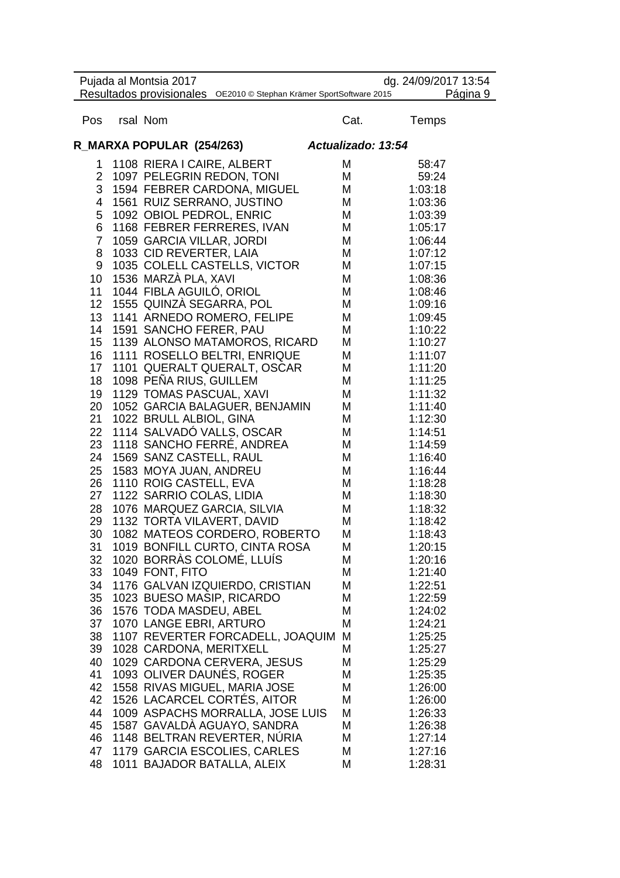|                 | Pujada al Montsia 2017<br>Resultados provisionales OE2010 © Stephan Krämer SportSoftware 2015 |                    | dg. 24/09/2017 13:54<br>Página 9 |
|-----------------|-----------------------------------------------------------------------------------------------|--------------------|----------------------------------|
| Pos             | rsal Nom                                                                                      | Cat.               | Temps                            |
|                 | R_MARXA POPULAR (254/263)                                                                     | Actualizado: 13:54 |                                  |
| 1               | 1108 RIERA I CAIRE, ALBERT                                                                    | M                  | 58:47                            |
| $\overline{2}$  | 1097 PELEGRIN REDON, TONI                                                                     | M                  | 59:24                            |
| 3               | 1594 FEBRER CARDONA, MIGUEL                                                                   | M                  | 1:03:18                          |
| 4               | 1561 RUIZ SERRANO, JUSTINO                                                                    | M                  | 1:03:36                          |
| 5               | 1092 OBIOL PEDROL, ENRIC                                                                      | M                  | 1:03:39                          |
| 6               | 1168 FEBRER FERRERES, IVAN                                                                    | M                  | 1:05:17                          |
| $\overline{7}$  | 1059 GARCIA VILLAR, JORDI                                                                     | M                  | 1:06:44                          |
| 8               | 1033 CID REVERTER, LAIA                                                                       | M                  | 1:07:12                          |
| 9               | 1035 COLELL CASTELLS, VICTOR                                                                  | M                  | 1:07:15                          |
| 10              | 1536 MARZÀ PLA, XAVI                                                                          | M                  | 1:08:36                          |
| 11              | 1044 FIBLA AGUILO, ORIOL<br>1555 QUINZÀ SEGARRA, POL                                          | M<br>M             | 1:08:46                          |
| 12 <sub>2</sub> |                                                                                               | M                  | 1:09:16                          |
| 13<br>14        | 1141 ARNEDO ROMERO, FELIPE<br>1591 SANCHO FERER, PAU                                          | М                  | 1:09:45<br>1:10:22               |
| 15              | 1139 ALONSO MATAMOROS, RICARD                                                                 | М                  | 1:10:27                          |
| 16              | 1111 ROSELLO BELTRI, ENRIQUE                                                                  | М                  | 1:11:07                          |
| 17              | 1101 QUERALT QUERALT, OSCAR                                                                   | М                  | 1:11:20                          |
| 18              | 1098 PEÑA RIUS, GUILLEM                                                                       | М                  | 1:11:25                          |
| 19              | 1129 TOMAS PASCUAL, XAVI                                                                      | М                  | 1:11:32                          |
| 20              | 1052 GARCIA BALAGUER, BENJAMIN                                                                | M                  | 1:11:40                          |
| 21              | 1022 BRULL ALBIOL, GINA                                                                       | M                  | 1:12:30                          |
| 22              | 1114 SALVADÓ VALLS, OSCAR                                                                     | M                  | 1:14:51                          |
| 23              | 1118 SANCHO FERRE, ANDREA                                                                     | M                  | 1:14:59                          |
| 24              | 1569 SANZ CASTELL, RAUL                                                                       | M                  | 1:16:40                          |
| 25              | 1583 MOYA JUAN, ANDREU                                                                        | M                  | 1:16:44                          |
| 26              | 1110 ROIG CASTELL, EVA                                                                        | M                  | 1:18:28                          |
| 27              | 1122 SARRIO COLAS, LIDIA                                                                      | M                  | 1:18:30                          |
| 28              | 1076 MARQUEZ GARCIA, SILVIA                                                                   | M                  | 1:18:32                          |
| 29              | 1132 TORTA VILAVERT, DAVID                                                                    | M                  | 1:18:42                          |
| 30              | 1082 MATEOS CORDERO, ROBERTO                                                                  | M                  | 1:18:43                          |
| 31              | 1019 BONFILL CURTO, CINTA ROSA                                                                | М                  | 1:20:15                          |
| 32              | 1020 BORRÀS COLOMÉ, LLUIS                                                                     | М                  | 1:20:16                          |
| 33              | 1049 FONT, FITO                                                                               | М                  | 1:21:40                          |
| 34              | 1176 GALVAN IZQUIERDO, CRISTIAN                                                               | М                  | 1:22:51                          |
| 35              | 1023 BUESO MASIP, RICARDO                                                                     | М                  | 1:22:59                          |
| 36              | 1576 TODA MASDEU, ABEL                                                                        | М                  | 1:24:02                          |
| 37              | 1070 LANGE EBRI, ARTURO                                                                       | M                  | 1:24:21                          |
| 38              | 1107 REVERTER FORCADELL, JOAQUIM                                                              | M                  | 1:25:25                          |
| 39              | 1028 CARDONA, MERITXELL                                                                       | М                  | 1:25:27                          |
| 40              | 1029 CARDONA CERVERA, JESUS                                                                   | М                  | 1:25:29                          |
| 41              | 1093 OLIVER DAUNÉS, ROGER                                                                     | М                  | 1:25:35                          |
| 42<br>42        | 1558 RIVAS MIGUEL, MARIA JOSE<br>1526 LACARCEL CORTÉS, AITOR                                  | M<br>M             | 1:26:00                          |
| 44              |                                                                                               |                    | 1:26:00                          |
| 45              | 1009 ASPACHS MORRALLA, JOSE LUIS<br>1587 GAVALDA AGUAYO, SANDRA                               | М<br>М             | 1:26:33<br>1:26:38               |
| 46              | 1148 BELTRAN REVERTER, NÚRIA                                                                  | М                  | 1:27:14                          |
| 47              | 1179 GARCIA ESCOLIES, CARLES                                                                  | М                  | 1:27:16                          |
| 48              | 1011 BAJADOR BATALLA, ALEIX                                                                   | М                  | 1:28:31                          |
|                 |                                                                                               |                    |                                  |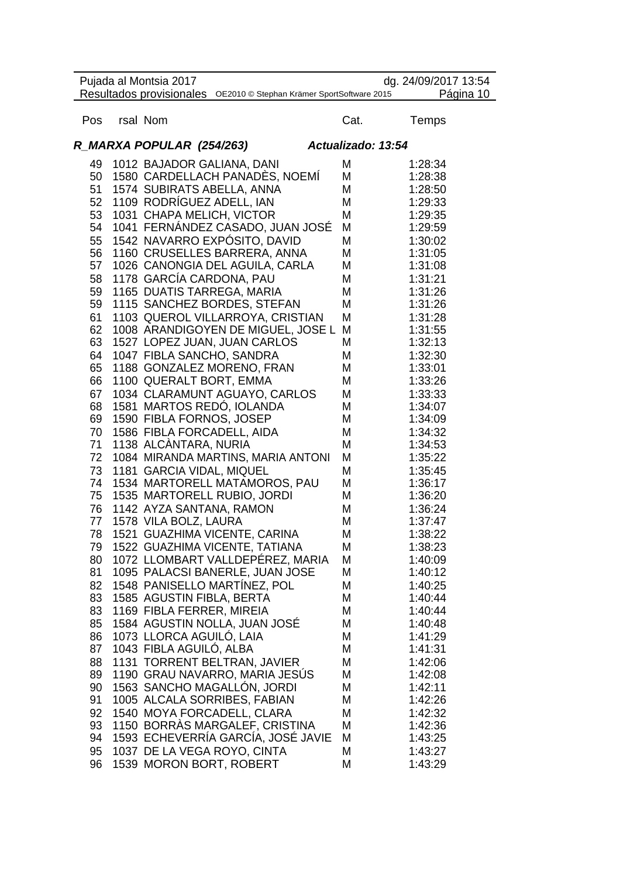|          | Pujada al Montsia 2017     | Resultados provisionales OE2010 @ Stephan Krämer SportSoftware 2015 |                    | dg. 24/09/2017 13:54<br>Página 10 |
|----------|----------------------------|---------------------------------------------------------------------|--------------------|-----------------------------------|
| Pos      | rsal Nom                   |                                                                     | Cat.               | Temps                             |
|          | R_MARXA POPULAR (254/263)  |                                                                     | Actualizado: 13:54 |                                   |
| 49       | 1012 BAJADOR GALIANA, DANI |                                                                     | M                  | 1:28:34                           |
| 50       |                            | 1580 CARDELLACH PANADÈS, NOEMÍ                                      | Μ                  | 1:28:38                           |
| 51       | 1574 SUBIRATS ABELLA, ANNA |                                                                     | Μ                  | 1:28:50                           |
| 52       | 1109 RODRÍGUEZ ADELL, IAN  |                                                                     | Μ                  | 1:29:33                           |
| 53       | 1031 CHAPA MELICH, VICTOR  |                                                                     | M<br>М             | 1:29:35                           |
| 54<br>55 |                            | 1041 FERNANDEZ CASADO, JUAN JOSÉ<br>1542 NAVARRO EXPÓSITO, DAVID    | M                  | 1:29:59<br>1:30:02                |
| 56       |                            | 1160 CRUSELLES BARRERA, ANNA                                        | M                  | 1:31:05                           |
| 57       |                            | 1026 CANONGIA DEL AGUILA, CARLA                                     | М                  | 1:31:08                           |
| 58       | 1178 GARCÍA CARDONA, PAU   |                                                                     | M                  | 1:31:21                           |
| 59       |                            | 1165 DUATIS TARREGA, MARIA                                          | М                  | 1:31:26                           |
| 59       |                            | 1115 SANCHEZ BORDES, STEFAN                                         | М                  | 1:31:26                           |
| 61       |                            | 1103 QUEROL VILLARROYA, CRISTIAN                                    | M                  | 1:31:28                           |
| 62       |                            | 1008 ARANDIGOYEN DE MIGUEL, JOSE L                                  | M                  | 1:31:55                           |
| 63       |                            | 1527 LOPEZ JUAN, JUAN CARLOS                                        | М                  | 1:32:13                           |
| 64       | 1047 FIBLA SANCHO, SANDRA  |                                                                     | М                  | 1:32:30                           |
| 65       |                            | 1188 GONZALEZ MORENO, FRAN                                          | М<br>M             | 1:33:01                           |
| 66<br>67 | 1100 QUERALT BORT, EMMA    | 1034 CLARAMUNT AGUAYO, CARLOS                                       | М                  | 1:33:26<br>1:33:33                |
| 68       |                            | 1581 MARTOS REDÓ, IOLANDA                                           | М                  | 1:34:07                           |
| 69       | 1590 FIBLA FORNOS, JOSEP   |                                                                     | М                  | 1:34:09                           |
| 70       | 1586 FIBLA FORCADELL, AIDA |                                                                     | М                  | 1:34:32                           |
| 71       | 1138 ALCÁNTARA, NURIA      |                                                                     | М                  | 1:34:53                           |
| 72       |                            | 1084 MIRANDA MARTINS, MARIA ANTONI                                  | М                  | 1:35:22                           |
| 73       | 1181 GARCIA VIDAL, MIQUEL  |                                                                     | M                  | 1:35:45                           |
| 74       |                            | 1534 MARTORELL MATAMOROS, PAU                                       | М                  | 1:36:17                           |
| 75       |                            | 1535 MARTORELL RUBIO, JORDI                                         | М                  | 1:36:20                           |
| 76<br>77 | 1142 AYZA SANTANA, RAMON   |                                                                     | M<br>M             | 1:36:24                           |
| 78       | 1578 VILA BOLZ, LAURA      | 1521 GUAZHIMA VICENTE, CARINA                                       | M                  | 1:37:47<br>1:38:22                |
| 79       |                            | 1522 GUAZHIMA VICENTE, TATIANA                                      | Μ                  | 1:38:23                           |
| 80       |                            | 1072 LLOMBART VALLDEPÉREZ, MARIA                                    | M                  | 1:40:09                           |
| 81       |                            | 1095 PALACSI BANERLE, JUAN JOSE                                     | М                  | 1:40:12                           |
| 82       |                            | 1548 PANISELLO MARTINEZ, POL                                        | M                  | 1:40:25                           |
| 83       | 1585 AGUSTIN FIBLA, BERTA  |                                                                     | Μ                  | 1:40:44                           |
| 83       | 1169 FIBLA FERRER, MIREIA  |                                                                     | Μ                  | 1:40:44                           |
| 85       |                            | 1584 AGUSTIN NOLLA, JUAN JOSÉ                                       | M                  | 1:40:48                           |
| 86       | 1073 LLORCA AGUILÓ, LAIA   |                                                                     | Μ                  | 1:41:29                           |
| 87       | 1043 FIBLA AGUILÓ, ALBA    |                                                                     | Μ                  | 1:41:31                           |
| 88<br>89 |                            | 1131 TORRENT BELTRAN, JAVIER<br>1190 GRAU NAVARRO, MARIA JESÚS      | M<br>М             | 1:42:06<br>1:42:08                |
| 90       |                            | 1563 SANCHO MAGALLON, JORDI                                         | М                  | 1:42:11                           |
| 91       |                            | 1005 ALCALA SORRIBES, FABIAN                                        | М                  | 1:42:26                           |
| 92       |                            | 1540 MOYA FORCADELL, CLARA                                          | М                  | 1:42:32                           |
| 93       |                            | 1150 BORRÀS MARGALEF, CRISTINA                                      | М                  | 1:42:36                           |
| 94       |                            | 1593 ECHEVERRÍA GARCÍA, JOSÉ JAVIE                                  | M                  | 1:43:25                           |
| 95       |                            | 1037 DE LA VEGA ROYO, CINTA                                         | M                  | 1:43:27                           |
| 96       | 1539 MORON BORT, ROBERT    |                                                                     | M                  | 1:43:29                           |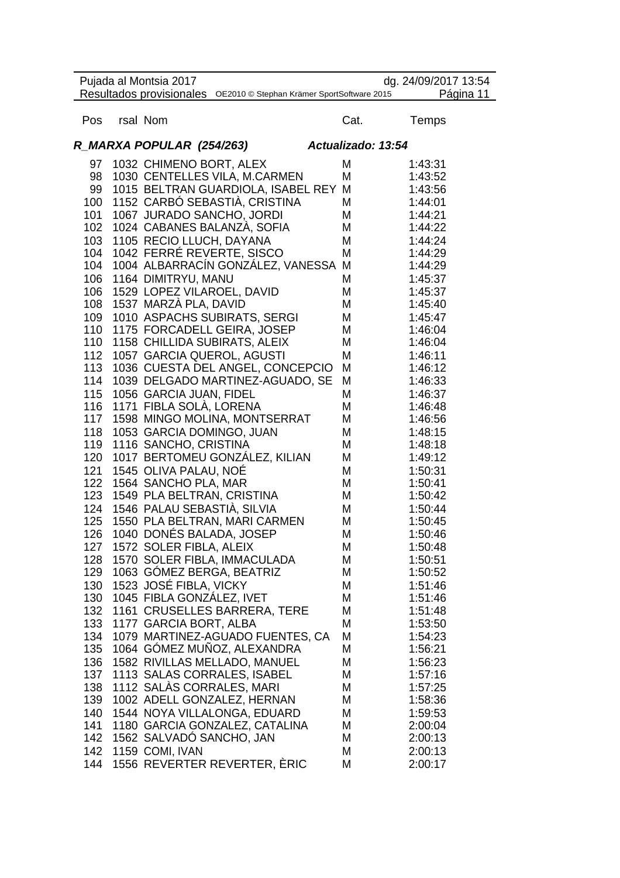|     | Pujada al Montsia 2017                                              |                    | dg. 24/09/2017 13:54 |
|-----|---------------------------------------------------------------------|--------------------|----------------------|
|     | Resultados provisionales OE2010 © Stephan Krämer SportSoftware 2015 |                    | Página 11            |
| Pos | rsal Nom                                                            | Cat.               | Temps                |
|     |                                                                     |                    |                      |
|     | R_MARXA POPULAR (254/263)                                           | Actualizado: 13:54 |                      |
| 97  | 1032 CHIMENO BORT, ALEX                                             | M                  | 1:43:31              |
| 98  | 1030 CENTELLES VILA, M.CARMEN                                       | M                  | 1:43:52              |
| 99  | 1015 BELTRAN GUARDIOLA, ISABEL REY M                                |                    | 1:43:56              |
| 100 | 1152 CARBÓ SEBASTIÀ, CRISTINA                                       | М                  | 1:44:01              |
| 101 | 1067 JURADO SANCHO, JORDI                                           | Μ                  | 1:44:21              |
| 102 | 1024 CABANES BALANZA, SOFIA                                         | М                  | 1:44:22              |
| 103 | 1105 RECIO LLUCH, DAYANA                                            | M                  | 1:44:24              |
| 104 | 1042 FERRÉ REVERTE, SISCO                                           | M                  | 1:44:29              |
| 104 | 1004 ALBARRACÍN GONZÁLEZ, VANESSA M                                 |                    | 1:44:29              |
| 106 | 1164 DIMITRYU, MANU                                                 | М                  | 1:45:37              |
| 106 | 1529 LOPEZ VILAROEL, DAVID                                          | M                  | 1:45:37              |
| 108 | 1537 MARZA PLA, DAVID                                               | M                  | 1:45:40              |
| 109 | 1010 ASPACHS SUBIRATS, SERGI                                        | М                  | 1:45:47              |
| 110 | 1175 FORCADELL GEIRA, JOSEP                                         | М                  | 1:46:04              |
| 110 | 1158 CHILLIDA SUBIRATS, ALEIX                                       | М                  | 1:46:04              |
| 112 | 1057 GARCIA QUEROL, AGUSTI                                          | М                  | 1:46:11              |
| 113 | 1036 CUESTA DEL ANGEL, CONCEPCIO                                    | M                  | 1:46:12              |
| 114 | 1039 DELGADO MARTINEZ-AGUADO, SE                                    | М                  | 1:46:33              |
| 115 | 1056 GARCIA JUAN, FIDEL                                             | M                  | 1:46:37              |
| 116 | 1171 FIBLA SOLA, LORENA                                             | М                  | 1:46:48              |
| 117 | 1598 MINGO MOLINA, MONTSERRAT                                       | М                  | 1:46:56              |
| 118 | 1053 GARCIA DOMINGO, JUAN                                           | M                  | 1:48:15              |
| 119 | 1116 SANCHO, CRISTINA                                               | M                  | 1:48:18              |
| 120 | 1017 BERTOMEU GONZÁLEZ, KILIAN                                      | М                  | 1:49:12              |
| 121 | 1545 OLIVA PALAU, NOÉ                                               | M                  | 1:50:31              |
| 122 | 1564 SANCHO PLA, MAR                                                | M                  | 1:50:41              |
| 123 | 1549 PLA BELTRAN, CRISTINA                                          | M                  | 1:50:42              |
| 124 | 1546 PALAU SEBASTIÀ, SILVIA                                         | М                  | 1:50:44              |
| 125 | 1550 PLA BELTRAN, MARI CARMEN                                       | M                  | 1:50:45              |
| 126 | 1040 DONÉS BALADA, JOSEP                                            | M                  | 1:50:46              |
| 127 | 1572 SOLER FIBLA, ALEIX                                             | М                  | 1:50:48              |
| 128 | 1570 SOLER FIBLA, IMMACULADA                                        | М                  | 1:50:51              |
| 129 | 1063 GÓMEZ BERGA, BEATRIZ                                           | М                  | 1:50:52              |
| 130 | 1523 JOSÉ FIBLA, VICKY                                              | M                  | 1:51:46              |
| 130 | 1045 FIBLA GONZÁLEZ, IVET                                           | M                  | 1:51:46              |
| 132 | 1161 CRUSELLES BARRERA, TERE                                        | М                  | 1:51:48              |
| 133 | 1177 GARCIA BORT, ALBA                                              | M                  | 1:53:50              |
| 134 | 1079 MARTINEZ-AGUADO FUENTES, CA                                    | M                  | 1:54:23              |
| 135 | 1064 GÓMEZ MUÑOZ, ALEXANDRA                                         | М                  | 1:56:21              |
| 136 | 1582 RIVILLAS MELLADO, MANUEL                                       | Μ                  | 1:56:23              |
| 137 | 1113 SALAS CORRALES, ISABEL                                         | М                  | 1:57:16              |
| 138 | 1112 SALAS CORRALES, MARI                                           | М                  | 1:57:25              |
| 139 | 1002 ADELL GONZALEZ, HERNAN                                         | М                  | 1:58:36              |
| 140 | 1544 NOYA VILLALONGA, EDUARD                                        | М                  | 1:59:53              |
| 141 | 1180 GARCIA GONZALEZ, CATALINA                                      | М                  | 2:00:04              |
| 142 | 1562 SALVADO SANCHO, JAN                                            | М                  | 2:00:13              |
| 142 | 1159 COMI, IVAN                                                     | М                  | 2:00:13              |
| 144 | 1556 REVERTER REVERTER, ÈRIC                                        | М                  | 2:00:17              |
|     |                                                                     |                    |                      |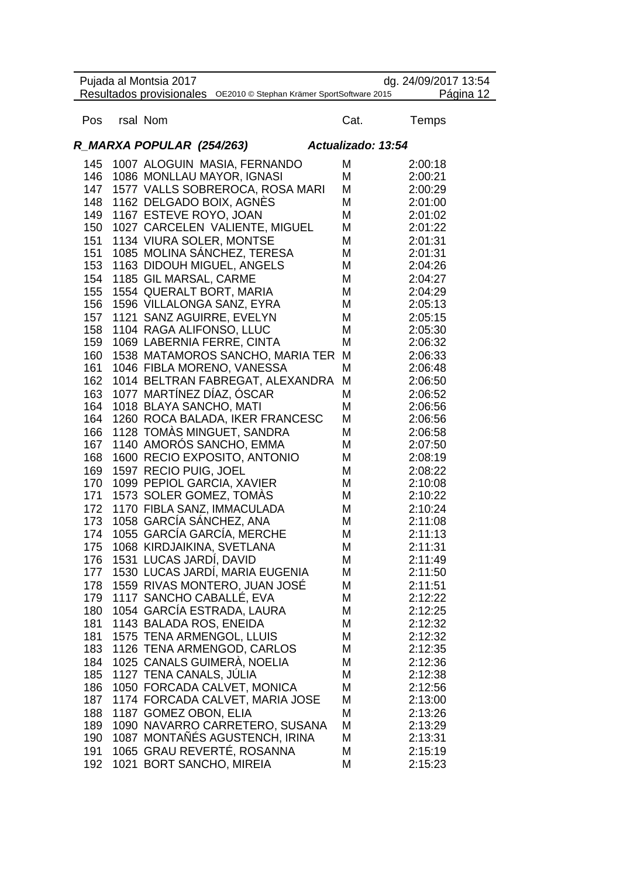|            | Pujada al Montsia 2017     |                                                                     |                    | dg. 24/09/2017 13:54 |
|------------|----------------------------|---------------------------------------------------------------------|--------------------|----------------------|
|            |                            | Resultados provisionales OE2010 © Stephan Krämer SportSoftware 2015 |                    | Página 12            |
| Pos        | rsal Nom                   |                                                                     | Cat.               | Temps                |
|            | R_MARXA POPULAR (254/263)  |                                                                     | Actualizado: 13:54 |                      |
|            |                            | 145 1007 ALOGUIN MASIA, FERNANDO                                    | M                  | 2:00:18              |
|            |                            | 146 1086 MONLLAU MAYOR, IGNASI                                      | M                  | 2:00:21              |
|            |                            | 147 1577 VALLS SOBREROCA, ROSA MARI                                 | M                  | 2:00:29              |
| 148        | 1162 DELGADO BOIX, AGNÉS   |                                                                     | M                  | 2:01:00              |
| 149        | 1167 ESTEVE ROYO, JOAN     |                                                                     | M                  | 2:01:02              |
| 150        |                            | 1027 CARCELEN VALIENTE, MIGUEL                                      | M                  | 2:01:22              |
| 151        | 1134 VIURA SOLER, MONTSE   |                                                                     | M                  | 2:01:31              |
| 151        |                            | 1085 MOLINA SANCHEZ, TERESA                                         | M                  | 2:01:31              |
| 153        |                            | 1163 DIDOUH MIGUEL, ANGELS                                          | M                  | 2:04:26              |
| 154        | 1185 GIL MARSAL, CARME     |                                                                     | M                  | 2:04:27              |
| 155        | 1554 QUERALT BORT, MARIA   |                                                                     | M                  | 2:04:29              |
| 156        | 1596 VILLALONGA SANZ, EYRA |                                                                     | M                  | 2:05:13              |
| 157        | 1121 SANZ AGUIRRE, EVELYN  |                                                                     | M                  | 2:05:15              |
| 158        | 1104 RAGA ALIFONSO, LLUC   |                                                                     | М                  | 2:05:30              |
| 159        | 1069 LABERNIA FERRE, CINTA |                                                                     | M                  | 2:06:32              |
| 160        |                            | 1538 MATAMOROS SANCHO, MARIA TER                                    | M                  | 2:06:33              |
| 161        |                            | 1046 FIBLA MORENO, VANESSA                                          | М                  | 2:06:48              |
| 162        |                            | 1014 BELTRAN FABREGAT, ALEXANDRA                                    | M                  | 2:06:50              |
| 163        | 1077 MARTÍNEZ DÍAZ, ÓSCAR  |                                                                     | М                  | 2:06:52              |
| 164        | 1018 BLAYA SANCHO, MATI    |                                                                     | M                  | 2:06:56              |
| 164        |                            | 1260 ROCA BALADA, IKER FRANCESC                                     | M                  | 2:06:56              |
| 166        |                            | 1128 TOMÀS MINGUET, SANDRA                                          | M                  | 2:06:58              |
| 167        |                            | 1140 AMORÓS SANCHO, EMMA                                            | M                  | 2:07:50              |
| 168        |                            | 1600 RECIO EXPOSITO, ANTONIO                                        | M                  | 2:08:19              |
| 169        | 1597 RECIO PUIG, JOEL      |                                                                     | M                  | 2:08:22              |
| 170        | 1099 PEPIOL GARCIA, XAVIER |                                                                     | M                  | 2:10:08              |
| 171        | 1573 SOLER GOMEZ, TOMÀS    |                                                                     | M                  | 2:10:22              |
| 172        |                            | 1170 FIBLA SANZ, IMMACULADA                                         | M                  | 2:10:24              |
| 173        | 1058 GARCÍA SÁNCHEZ, ANA   |                                                                     | M                  | 2:11:08              |
| 174        |                            | 1055 GARCÍA GARCÍA, MERCHE                                          | M                  | 2:11:13              |
| 175        | 1068 KIRDJAIKINA, SVETLANA |                                                                     | M                  | 2:11:31              |
| 176<br>177 | 1531 LUCAS JARDÍ, DAVID    | 1530 LUCAS JARDÍ, MARIA EUGENIA                                     | M<br>М             | 2:11:49              |
|            |                            | 1559 RIVAS MONTERO, JUAN JOSE                                       |                    | 2:11:50              |
| 178<br>179 | 1117 SANCHO CABALLÉ, EVA   |                                                                     | М<br>M             | 2:11:51<br>2:12:22   |
| 180        |                            | 1054 GARCIA ESTRADA, LAURA                                          | M                  | 2:12:25              |
| 181        | 1143 BALADA ROS, ENEIDA    |                                                                     | М                  | 2:12:32              |
| 181        | 1575 TENA ARMENGOL, LLUIS  |                                                                     | М                  | 2:12:32              |
| 183        |                            | 1126 TENA ARMENGOD, CARLOS                                          | M                  | 2:12:35              |
| 184        |                            | 1025 CANALS GUIMERÀ, NOELIA                                         | Μ                  | 2:12:36              |
| 185        | 1127 TENA CANALS, JÚLIA    |                                                                     | Μ                  | 2:12:38              |
| 186        |                            | 1050 FORCADA CALVET, MONICA                                         | М                  | 2:12:56              |
| 187        |                            | 1174 FORCADA CALVET, MARIA JOSE                                     | М                  | 2:13:00              |
| 188        | 1187 GOMEZ OBON, ELIA      |                                                                     | М                  | 2:13:26              |
| 189        |                            | 1090 NAVARRO CARRETERO, SUSANA                                      | M                  | 2:13:29              |
| 190        |                            | 1087 MONTANES AGUSTENCH, IRINA                                      | М                  | 2:13:31              |
| 191        |                            | 1065 GRAU REVERTÉ, ROSANNA                                          | M                  | 2:15:19              |
| 192        | 1021 BORT SANCHO, MIREIA   |                                                                     | М                  | 2:15:23              |
|            |                            |                                                                     |                    |                      |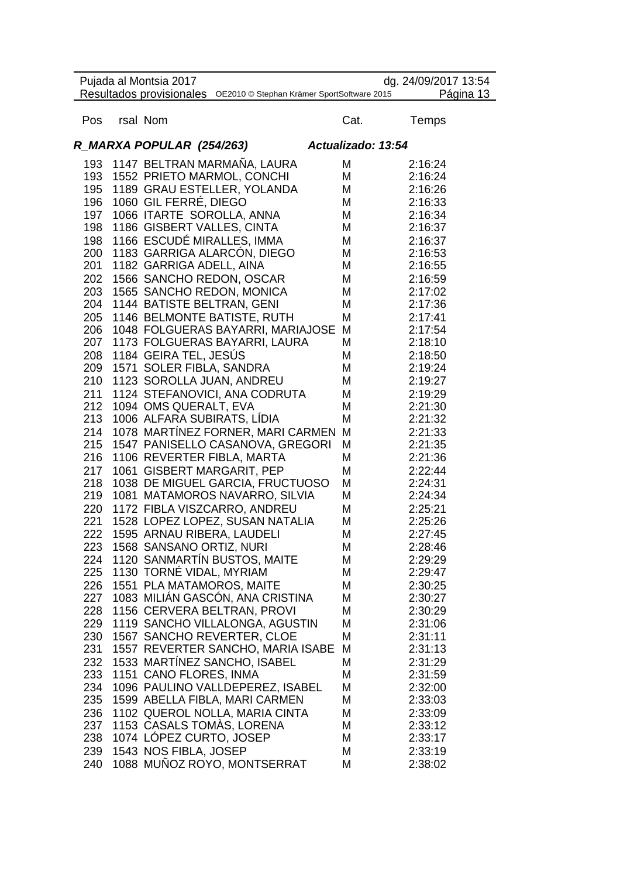| Pujada al Montsia 2017<br>dg. 24/09/2017 13:54                                   |  |                             |                                   |      |         |  |  |  |
|----------------------------------------------------------------------------------|--|-----------------------------|-----------------------------------|------|---------|--|--|--|
| Resultados provisionales OE2010 @ Stephan Krämer SportSoftware 2015<br>Página 13 |  |                             |                                   |      |         |  |  |  |
| Pos                                                                              |  | rsal Nom                    |                                   | Cat. | Temps   |  |  |  |
| Actualizado: 13:54<br>R_MARXA POPULAR (254/263)                                  |  |                             |                                   |      |         |  |  |  |
|                                                                                  |  |                             | 193 1147 BELTRAN MARMAÑA, LAURA   | M    | 2:16:24 |  |  |  |
| 193                                                                              |  |                             | 1552 PRIETO MARMOL, CONCHI        | M    | 2:16:24 |  |  |  |
| 195                                                                              |  |                             | 1189 GRAU ESTELLER, YOLANDA       | M    | 2:16:26 |  |  |  |
| 196                                                                              |  | 1060 GIL FERRÉ, DIEGO       |                                   | M    | 2:16:33 |  |  |  |
| 197                                                                              |  | 1066 ITARTE SOROLLA, ANNA   |                                   | M    | 2:16:34 |  |  |  |
| 198                                                                              |  | 1186 GISBERT VALLES, CINTA  |                                   | M    | 2:16:37 |  |  |  |
| 198                                                                              |  |                             | 1166 ESCUDÉ MIRALLES, IMMA        | M    | 2:16:37 |  |  |  |
| 200                                                                              |  |                             | 1183 GARRIGA ALARCÓN, DIEGO       | M    | 2:16:53 |  |  |  |
| 201                                                                              |  | 1182 GARRIGA ADELL, AINA    |                                   | M    | 2:16:55 |  |  |  |
| 202                                                                              |  |                             | 1566 SANCHO REDON, OSCAR          | M    | 2:16:59 |  |  |  |
| 203                                                                              |  |                             | 1565 SANCHO REDON, MONICA         | M    | 2:17:02 |  |  |  |
| 204                                                                              |  | 1144 BATISTE BELTRAN, GENI  |                                   | M    | 2:17:36 |  |  |  |
| 205                                                                              |  |                             | 1146 BELMONTE BATISTE, RUTH       | M    | 2:17:41 |  |  |  |
| 206                                                                              |  |                             | 1048 FOLGUERAS BAYARRI, MARIAJOSE | M    | 2:17:54 |  |  |  |
| 207                                                                              |  |                             | 1173 FOLGUERAS BAYARRI, LAURA     | M    | 2:18:10 |  |  |  |
| 208                                                                              |  | 1184 GEIRA TEL, JESÚS       |                                   | M    | 2:18:50 |  |  |  |
| 209                                                                              |  | 1571 SOLER FIBLA, SANDRA    |                                   | M    | 2:19:24 |  |  |  |
| 210                                                                              |  |                             | 1123 SOROLLA JUAN, ANDREU         | M    | 2:19:27 |  |  |  |
| 211                                                                              |  |                             | 1124 STEFANOVICI, ANA CODRUTA     | M    | 2:19:29 |  |  |  |
| 212                                                                              |  | 1094 OMS QUERALT, EVA       |                                   | M    | 2:21:30 |  |  |  |
| 213                                                                              |  | 1006 ALFARA SUBIRATS, LIDIA |                                   | M    | 2:21:32 |  |  |  |
| 214                                                                              |  |                             | 1078 MARTINEZ FORNER, MARI CARMEN | M    | 2:21:33 |  |  |  |
| 215                                                                              |  |                             | 1547 PANISELLO CASANOVA, GREGORI  | M    | 2:21:35 |  |  |  |
| 216                                                                              |  |                             | 1106 REVERTER FIBLA, MARTA        | M    | 2:21:36 |  |  |  |
| 217                                                                              |  |                             | 1061 GISBERT MARGARIT, PEP        | M    | 2:22:44 |  |  |  |
| 218                                                                              |  |                             | 1038 DE MIGUEL GARCIA, FRUCTUOSO  | M    | 2:24:31 |  |  |  |
| 219                                                                              |  |                             | 1081 MATAMOROS NAVARRO, SILVIA    | M    | 2:24:34 |  |  |  |
| 220                                                                              |  |                             | 1172 FIBLA VISZCARRO, ANDREU      | M    | 2:25:21 |  |  |  |
| 221                                                                              |  |                             | 1528 LOPEZ LOPEZ, SUSAN NATALIA   | M    | 2:25:26 |  |  |  |
| 222                                                                              |  | 1595 ARNAU RIBERA, LAUDELI  |                                   | M    | 2:27:45 |  |  |  |
| 223                                                                              |  | 1568 SANSANO ORTIZ, NURI    |                                   | M    | 2:28:46 |  |  |  |
| 224                                                                              |  |                             | 1120 SANMARTIN BUSTOS, MAITE      | M    | 2:29:29 |  |  |  |
| 225                                                                              |  | 1130 TORNÉ VIDAL, MYRIAM    |                                   | M    | 2:29:47 |  |  |  |
| 226                                                                              |  | 1551 PLA MATAMOROS, MAITE   |                                   | M    | 2:30:25 |  |  |  |
| 227                                                                              |  |                             | 1083 MILIÁN GASCÓN, ANA CRISTINA  | M    | 2:30:27 |  |  |  |
| 228                                                                              |  |                             | 1156 CERVERA BELTRAN, PROVI       | M    | 2:30:29 |  |  |  |
| 229                                                                              |  |                             | 1119 SANCHO VILLALONGA, AGUSTIN   | M    | 2:31:06 |  |  |  |
| 230                                                                              |  |                             | 1567 SANCHO REVERTER, CLOE        | M    | 2:31:11 |  |  |  |
| 231                                                                              |  |                             | 1557 REVERTER SANCHO, MARIA ISABE | M    | 2:31:13 |  |  |  |
| 232                                                                              |  |                             | 1533 MARTÍNEZ SANCHO, ISABEL      | M    | 2:31:29 |  |  |  |
| 233                                                                              |  | 1151 CANO FLORES, INMA      |                                   | M    | 2:31:59 |  |  |  |
| 234                                                                              |  |                             | 1096 PAULINO VALLDEPEREZ, ISABEL  | Μ    | 2:32:00 |  |  |  |
| 235                                                                              |  |                             | 1599 ABELLA FIBLA, MARI CARMEN    | M    | 2:33:03 |  |  |  |
| 236                                                                              |  |                             | 1102 QUEROL NOLLA, MARIA CINTA    | М    | 2:33:09 |  |  |  |
| 237                                                                              |  |                             | 1153 CASALS TOMAS, LORENA         | M    | 2:33:12 |  |  |  |
| 238                                                                              |  | 1074 LOPEZ CURTO, JOSEP     |                                   | M    | 2:33:17 |  |  |  |
| 239                                                                              |  | 1543 NOS FIBLA, JOSEP       |                                   | M    | 2:33:19 |  |  |  |
| 240                                                                              |  |                             | 1088 MUÑOZ ROYO, MONTSERRAT       | M    | 2:38:02 |  |  |  |